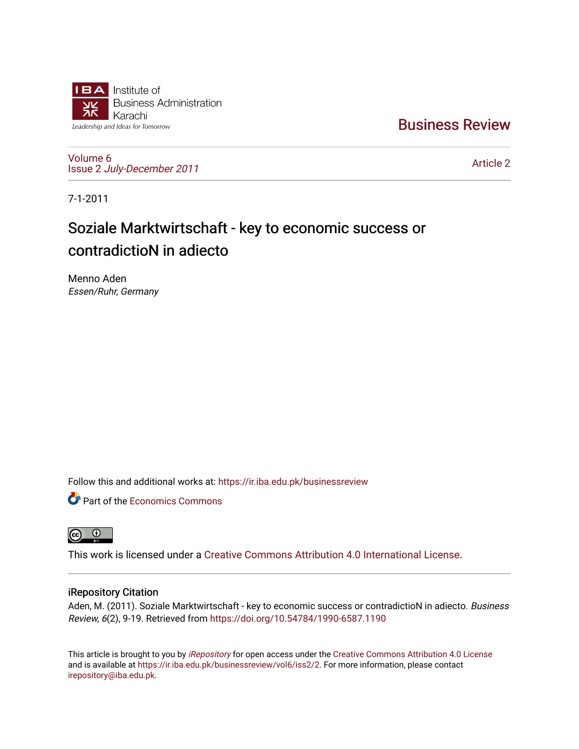

[Business Review](https://ir.iba.edu.pk/businessreview) 

[Volume 6](https://ir.iba.edu.pk/businessreview/vol6) Issue 2 [July-December 2011](https://ir.iba.edu.pk/businessreview/vol6/iss2)

[Article 2](https://ir.iba.edu.pk/businessreview/vol6/iss2/2) 

7-1-2011

# Soziale Marktwirtschaft - key to economic success or contradictioN in adiecto

Menno Aden Essen/Ruhr, Germany

Follow this and additional works at: [https://ir.iba.edu.pk/businessreview](https://ir.iba.edu.pk/businessreview?utm_source=ir.iba.edu.pk%2Fbusinessreview%2Fvol6%2Fiss2%2F2&utm_medium=PDF&utm_campaign=PDFCoverPages) 

**P** Part of the [Economics Commons](http://network.bepress.com/hgg/discipline/340?utm_source=ir.iba.edu.pk%2Fbusinessreview%2Fvol6%2Fiss2%2F2&utm_medium=PDF&utm_campaign=PDFCoverPages)



This work is licensed under a [Creative Commons Attribution 4.0 International License](https://creativecommons.org/licenses/by/4.0/).

# iRepository Citation

Aden, M. (2011). Soziale Marktwirtschaft - key to economic success or contradictioN in adiecto. Business Review, 6(2), 9-19. Retrieved from<https://doi.org/10.54784/1990-6587.1190>

This article is brought to you by [iRepository](https://ir.iba.edu.pk/) for open access under the Creative Commons Attribution 4.0 License and is available at [https://ir.iba.edu.pk/businessreview/vol6/iss2/2.](https://ir.iba.edu.pk/businessreview/vol6/iss2/2) For more information, please contact [irepository@iba.edu.pk.](mailto:irepository@iba.edu.pk)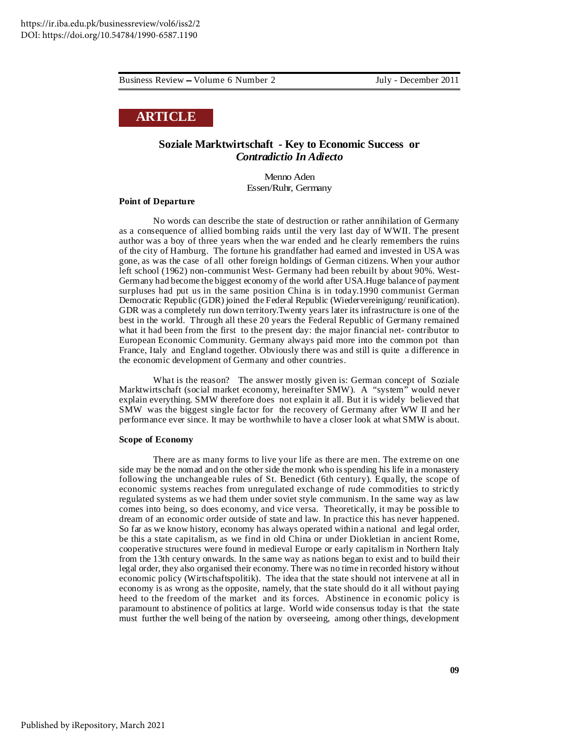# **ARTICLE**

# **Soziale Marktwirtschaft - Key to Economic Success or** *Contradictio In Adiecto*

Menno Aden Essen/Ruhr, Germany

# **Point of Departure**

No words can describe the state of destruction or rather annihilation of Germany as a consequence of allied bombing raids until the very last day of WWII. The present author was a boy of three years when the war ended and he clearly remembers the ruins of the city of Hamburg. The fortune his grandfather had earned and invested in USA was gone, as was the case of all other foreign holdings of German citizens. When your author left school (1962) non-communist West- Germany had been rebuilt by about 90%. West-Germany had become the biggest economy of the world after USA.Huge balance of payment surpluses had put us in the same position China is in today.1990 communist German Democratic Republic (GDR) joined the Federal Republic (Wiedervereinigung/ reunification). GDR was a completely run down territory.Twenty years later its infrastructure is one of the best in the world. Through all these 20 years the Federal Republic of Germany remained what it had been from the first to the present day: the major financial net- contributor to European Economic Community. Germany always paid more into the common pot than France, Italy and England together. Obviously there was and still is quite a difference in the economic development of Germany and other countries.

What is the reason? The answer mostly given is: German concept of Soziale Marktwirtschaft (social market economy, hereinafter SMW). A "system" would never explain everything. SMW therefore does not explain it all. But it is widely believed that SMW was the biggest single factor for the recovery of Germany after WW II and her performance ever since. It may be worthwhile to have a closer look at what SMW is about.

#### **Scope of Economy**

There are as many forms to live your life as there are men. The extreme on one side may be the nomad and on the other side the monk who isspending his life in a monastery following the unchangeable rules of St. Benedict (6th century). Equally, the scope of economic systems reaches from unregulated exchange of rude commodities to strictly regulated systems as we had them under soviet style communism. In the same way as law comes into being, so does economy, and vice versa. Theoretically, it may be possible to dream of an economic order outside of state and law. In practice this has never happened. So far as we know history, economy has always operated within a national and legal order, be this a state capitalism, as we find in old China or under Diokletian in ancient Rome, cooperative structures were found in medieval Europe or early capitalism in Northern Italy from the 13th century onwards. In the same way as nations began to exist and to build their legal order, they also organised their economy. There was no time in recorded history without economic policy (Wirtschaftspolitik). The idea that the state should not intervene at all in economy is as wrong as the opposite, namely, that the state should do it all without paying heed to the freedom of the market and its forces. Abstinence in economic policy is paramount to abstinence of politics at large. World wide consensus today is that the state must further the well being of the nation by overseeing, among other things, development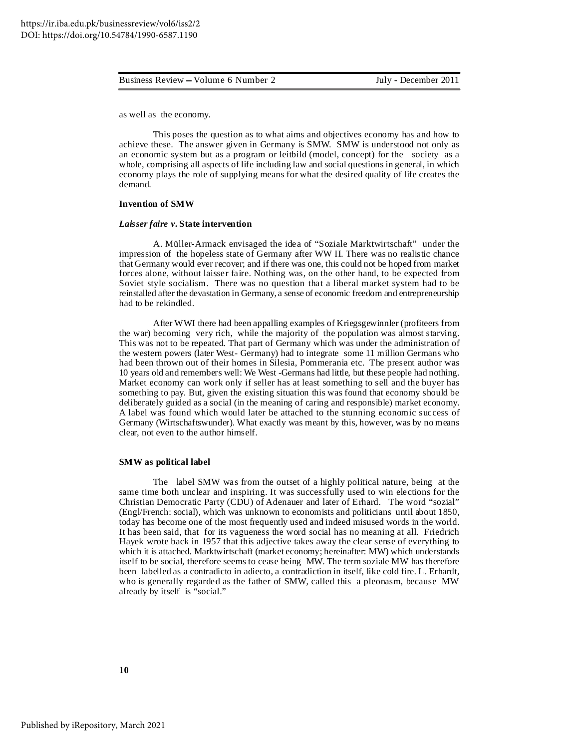as well as the economy.

This poses the question as to what aims and objectives economy has and how to achieve these. The answer given in Germany is SMW. SMW is understood not only as an economic system but as a program or leitbild (model, concept) for the society as a whole, comprising all aspects of life including law and social questions in general, in which economy plays the role of supplying means for what the desired quality of life creates the demand.

# **Invention of SMW**

#### *Laisser faire v***. State intervention**

A. Müller-Armack envisaged the idea of "Soziale Marktwirtschaft" under the impression of the hopeless state of Germany after WW II. There was no realistic chance that Germany would ever recover; and if there was one, this could not be hoped from market forces alone, without laisser faire. Nothing was, on the other hand, to be expected from Soviet style socialism. There was no question that a liberal market system had to be reinstalled after the devastation in Germany, a sense of economic freedom and entrepreneurship had to be rekindled.

After WWI there had been appalling examples of Kriegsgewinnler (profiteers from the war) becoming very rich, while the majority of the population was almost starving. This was not to be repeated. That part of Germany which was under the administration of the western powers (later West- Germany) had to integrate some 11 million Germans who had been thrown out of their homes in Silesia, Pommerania etc. The present author was 10 years old and remembers well: We West -Germans had little, but these people had nothing. Market economy can work only if seller has at least something to sell and the buyer has something to pay. But, given the existing situation this was found that economy should be deliberately guided as a social (in the meaning of caring and responsible) market economy. A label was found which would later be attached to the stunning economic success of Germany (Wirtschaftswunder). What exactly was meant by this, however, was by no means clear, not even to the author himself.

## **SMW as political label**

The label SMW was from the outset of a highly political nature, being at the same time both unclear and inspiring. It was successfully used to win elections for the Christian Democratic Party (CDU) of Adenauer and later of Erhard. The word "sozial" (Engl/French: social), which was unknown to economists and politicians until about 1850, today has become one of the most frequently used and indeed misused words in the world. It has been said, that for its vagueness the word social has no meaning at all. Friedrich Hayek wrote back in 1957 that this adjective takes away the clear sense of everything to which it is attached. Marktwirtschaft (market economy; hereinafter: MW) which understands itself to be social, therefore seems to cease being MW. The term soziale MW has therefore been labelled as a contradicto in adiecto, a contradiction in itself, like cold fire. L. Erhardt, who is generally regarded as the father of SMW, called this a pleonasm, because MW already by itself is "social."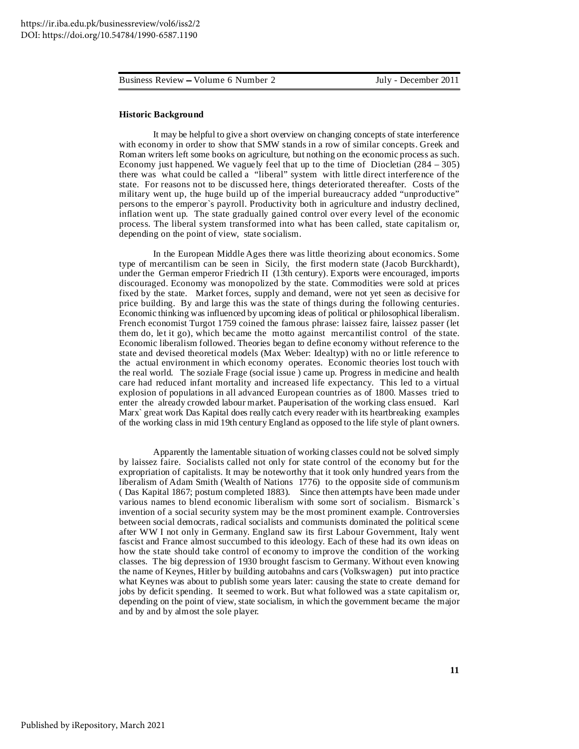# **Historic Background**

It may be helpful to give a short overview on changing concepts of state interference with economy in order to show that SMW stands in a row of similar concepts. Greek and Roman writers left some books on agriculture, but nothing on the economic process as such. Economy just happened. We vaguely feel that up to the time of Diocletian  $(284 - 305)$ there was what could be called a "liberal" system with little direct interference of the state. For reasons not to be discussed here, things deteriorated thereafter. Costs of the military went up, the huge build up of the imperial bureaucracy added "unproductive" persons to the emperor`s payroll. Productivity both in agriculture and industry declined, inflation went up. The state gradually gained control over every level of the economic process. The liberal system transformed into what has been called, state capitalism or, depending on the point of view, state socialism.

In the European Middle Ages there was little theorizing about economics. Some type of mercantilism can be seen in Sicily, the first modern state (Jacob Burckhardt), under the German emperor Friedrich II (13th century). Exports were encouraged, imports discouraged. Economy was monopolized by the state. Commodities were sold at prices fixed by the state. Market forces, supply and demand, were not yet seen as decisive for price building. By and large this was the state of things during the following centuries. Economic thinking was influenced by upcoming ideas of political or philosophical liberalism. French economist Turgot 1759 coined the famous phrase: laissez faire, laissez passer (let them do, let it go), which became the motto against mercantilist control of the state. Economic liberalism followed. Theories began to define economy without reference to the state and devised theoretical models (Max Weber: Idealtyp) with no or little reference to the actual environment in which economy operates. Economic theories lost touch with the real world. The soziale Frage (social issue ) came up. Progress in medicine and health care had reduced infant mortality and increased life expectancy. This led to a virtual explosion of populations in all advanced European countries as of 1800. Masses tried to enter the already crowded labour market. Pauperisation of the working class ensued. Karl Marx` great work Das Kapital does really catch every reader with its heartbreaking examples of the working class in mid 19th century England as opposed to the life style of plant owners.

Apparently the lamentable situation of working classes could not be solved simply by laissez faire. Socialists called not only for state control of the economy but for the expropriation of capitalists. It may be noteworthy that it took only hundred years from the liberalism of Adam Smith (Wealth of Nations 1776) to the opposite side of communism ( Das Kapital 1867; postum completed 1883). Since then attempts have been made under various names to blend economic liberalism with some sort of socialism. Bismarck`s invention of a social security system may be the most prominent example. Controversies between social democrats, radical socialists and communists dominated the political scene after WW I not only in Germany. England saw its first Labour Government, Italy went fascist and France almost succumbed to this ideology. Each of these had its own ideas on how the state should take control of economy to improve the condition of the working classes. The big depression of 1930 brought fascism to Germany. Without even knowing the name of Keynes, Hitler by building autobahns and cars (Volkswagen) put into practice what Keynes was about to publish some years later: causing the state to create demand for jobs by deficit spending. It seemed to work. But what followed was a state capitalism or, depending on the point of view, state socialism, in which the government became the major and by and by almost the sole player.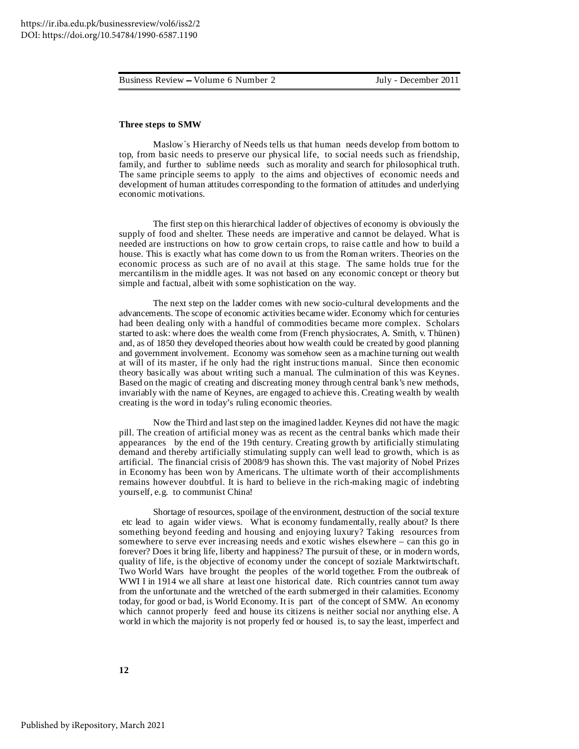## **Three steps to SMW**

Maslow`s Hierarchy of Needs tells us that human needs develop from bottom to top, from basic needs to preserve our physical life, to social needs such as friendship, family, and further to sublime needs such as morality and search for philosophical truth. The same principle seems to apply to the aims and objectives of economic needs and development of human attitudes corresponding to the formation of attitudes and underlying economic motivations.

The first step on this hierarchical ladder of objectives of economy is obviously the supply of food and shelter. These needs are imperative and cannot be delayed. What is needed are instructions on how to grow certain crops, to raise cattle and how to build a house. This is exactly what has come down to us from the Roman writers. Theories on the economic process as such are of no avail at this stage. The same holds true for the mercantilism in the middle ages. It was not based on any economic concept or theory but simple and factual, albeit with some sophistication on the way.

The next step on the ladder comes with new socio-cultural developments and the advancements. The scope of economic activities became wider. Economy which for centuries had been dealing only with a handful of commodities became more complex. Scholars started to ask: where does the wealth come from (French physiocrates, A. Smith, v. Thünen) and, as of 1850 they developed theories about how wealth could be created by good planning and government involvement. Economy was somehow seen as a machine turning out wealth at will of its master, if he only had the right instructions manual. Since then economic theory basically was about writing such a manual. The culmination of this was Keynes. Based on the magic of creating and discreating money through central bank's new methods, invariably with the name of Keynes, are engaged to achieve this. Creating wealth by wealth creating is the word in today's ruling economic theories.

Now the Third and laststep on the imagined ladder. Keynes did not have the magic pill. The creation of artificial money was as recent as the central banks which made their appearances by the end of the 19th century. Creating growth by artificially stimulating demand and thereby artificially stimulating supply can well lead to growth, which is as artificial. The financial crisis of 2008/9 has shown this. The vast majority of Nobel Prizes in Economy has been won by Americans. The ultimate worth of their accomplishments remains however doubtful. It is hard to believe in the rich-making magic of indebting yourself, e.g. to communist China!

Shortage of resources, spoilage of the environment, destruction of the social texture etc lead to again wider views. What is economy fundamentally, really about? Is there something beyond feeding and housing and enjoying luxury? Taking resources from somewhere to serve ever increasing needs and exotic wishes elsewhere – can this go in forever? Does it bring life, liberty and happiness? The pursuit of these, or in modern words, quality of life, is the objective of economy under the concept of soziale Marktwirtschaft. Two World Wars have brought the peoples of the world together. From the outbreak of WWI I in 1914 we all share at least one historical date. Rich countries cannot turn away from the unfortunate and the wretched of the earth submerged in their calamities. Economy today, for good or bad, is World Economy. It is part of the concept of SMW. An economy which cannot properly feed and house its citizens is neither social nor anything else. A world in which the majority is not properly fed or housed is, to say the least, imperfect and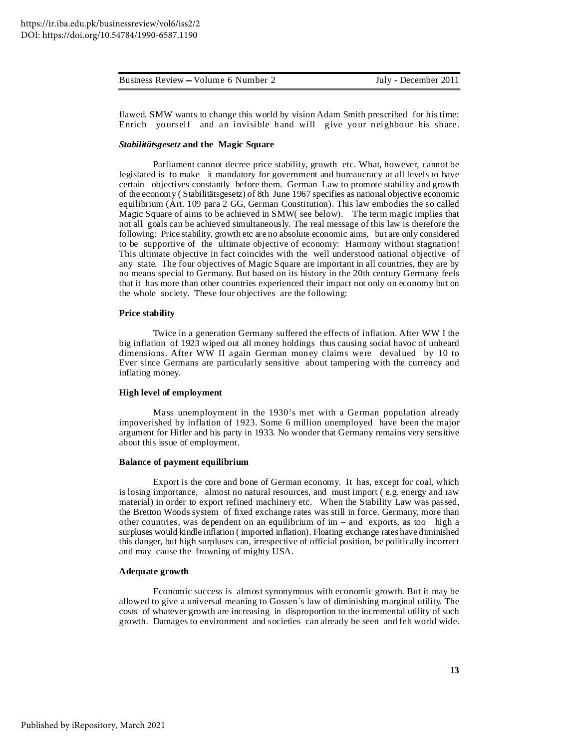flawed. SMW wants to change this world by vision Adam Smith prescribed for his time: Enrich yourself and an invisible hand will give your neighbour his share.

# *Stabilitätsgesetz* **and the Magic Square**

Parliament cannot decree price stability, growth etc. What, however, cannot be legislated is to make it mandatory for government and bureaucracy at all levels to have certain objectives constantly before them. German Law to promote stability and growth of the economy ( Stabilitätsgesetz) of 8th June 1967 specifies as national objective economic equilibrium (Art. 109 para 2 GG, German Constitution). This law embodies the so called Magic Square of aims to be achieved in SMW( see below). The term magic implies that not all goals can be achieved simultaneously. The real message of this law is therefore the following: Price stability, growth etc are no absolute economic aims, but are only considered to be supportive of the ultimate objective of economy: Harmony without stagnation! This ultimate objective in fact coincides with the well understood national objective of any state. The four objectives of Magic Square are important in all countries, they are by no means special to Germany. But based on its history in the 20th century Germany feels that it has more than other countries experienced their impact not only on economy but on the whole society. These four objectives are the following:

## **Price stability**

Twice in a generation Germany suffered the effects of inflation. After WW I the big inflation of 1923 wiped out all money holdings thus causing social havoc of unheard dimensions. After WW II again German money claims were devalued by 10 to Ever since Germans are particularly sensitive about tampering with the currency and inflating money.

# **High level of employment**

Mass unemployment in the 1930's met with a German population already impoverished by inflation of 1923. Some 6 million unemployed have been the major argument for Hitler and his party in 1933. No wonder that Germany remains very sensitive about this issue of employment.

## **Balance of payment equilibrium**

Export is the core and bone of German economy. It has, except for coal, which is losing importance, almost no natural resources, and must import ( e.g. energy and raw material) in order to export refined machinery etc. When the Stability Law was passed, the Bretton Woods system of fixed exchange rates was still in force. Germany, more than other countries, was dependent on an equilibrium of im – and exports, as too high a surpluses would kindle inflation ( imported inflation). Floating exchange rates have diminished this danger, but high surpluses can, irrespective of official position, be politically incorrect and may cause the frowning of mighty USA.

# **Adequate growth**

Economic success is almost synonymous with economic growth. But it may be allowed to give a universal meaning to Gossen`s law of diminishing marginal utility. The costs of whatever growth are increasing in disproportion to the incremental utility of such growth. Damages to environment and societies can already be seen and felt world wide.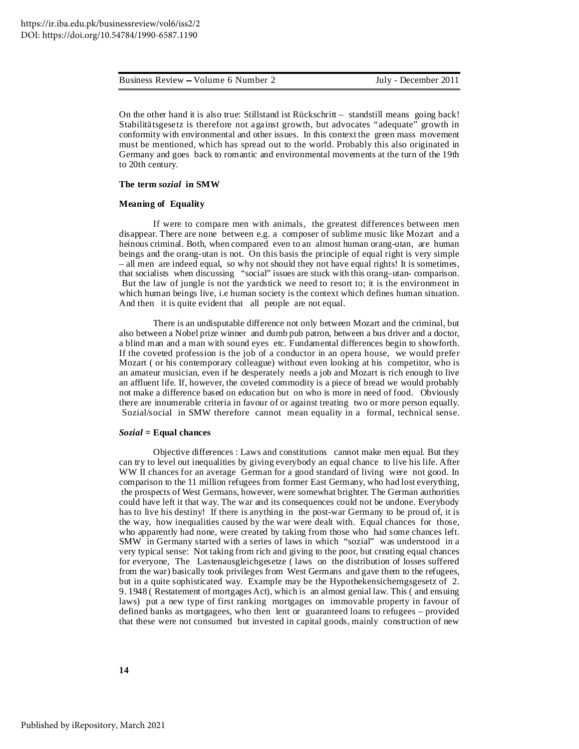On the other hand it is also true: Stillstand ist Rückschritt – standstill means going back! Stabilitätsgesetz is therefore not against growth, but advocates "adequate" growth in conformity with environmental and other issues. In this context the green mass movement must be mentioned, which has spread out to the world. Probably this also originated in Germany and goes back to romantic and environmental movements at the turn of the 19th to 20th century.

#### **The term** *sozial* **in SMW**

# **Meaning of Equality**

If were to compare men with animals, the greatest differences between men disappear. There are none between e.g. a composer of sublime music like Mozart and a heinous criminal. Both, when compared even to an almost human orang-utan, are human beings and the orang-utan is not. On this basis the principle of equal right is very simple – all men are indeed equal, so why not should they not have equal rights! It is sometimes, that socialists when discussing "social" issues are stuck with this orang–utan- comparison. But the law of jungle is not the yardstick we need to resort to; it is the environment in which human beings live, i.e human society is the context which defines human situation. And then it is quite evident that all people are not equal.

There is an undisputable difference not only between Mozart and the criminal, but also between a Nobel prize winner and dumb pub patron, between a bus driver and a doctor, a blind man and a man with sound eyes etc. Fundamental differences begin to showforth. If the coveted profession is the job of a conductor in an opera house, we would prefer Mozart ( or his contemporary colleague) without even looking at his competitor, who is an amateur musician, even if he desperately needs a job and Mozart is rich enough to live an affluent life. If, however, the coveted commodity is a piece of bread we would probably not make a difference based on education but on who is more in need of food. Obviously there are innumerable criteria in favour of or against treating two or more person equally. Sozial/social in SMW therefore cannot mean equality in a formal, technical sense.

# *Sozial* **= Equal chances**

Objective differences : Laws and constitutions cannot make men equal. But they can try to level out inequalities by giving everybody an equal chance to live his life. After WW II chances for an average German for a good standard of living were not good. In comparison to the 11 million refugees from former East Germany, who had lost everything, the prospects of West Germans, however, were somewhat brighter. The German authorities could have left it that way. The war and its consequences could not be undone. Everybody has to live his destiny! If there is anything in the post-war Germany to be proud of, it is the way, how inequalities caused by the war were dealt with. Equal chances for those, who apparently had none, were created by taking from those who had some chances left. SMW in Germany started with a series of laws in which "sozial" was understood in a very typical sense: Not taking from rich and giving to the poor, but creating equal chances for everyone, The Lastenausgleichgesetze ( laws on the distribution of losses suffered from the war) basically took privileges from West Germans and gave them to the refugees, but in a quite sophisticated way. Example may be the Hypothekensicherngsgesetz of 2. 9. 1948 ( Restatement of mortgages Act), which is an almost genial law. This ( and ensuing laws) put a new type of first ranking mortgages on immovable property in favour of defined banks as mortgagees, who then lent or guaranteed loans to refugees – provided that these were not consumed but invested in capital goods, mainly construction of new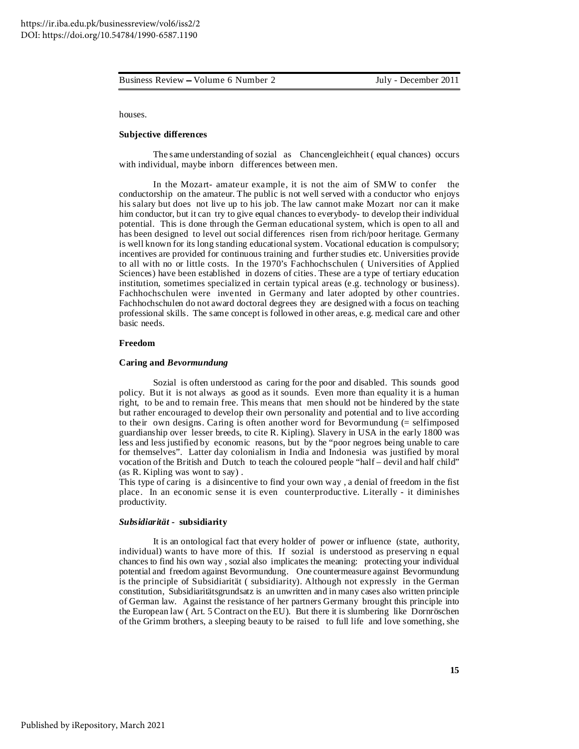houses.

# **Subjective differences**

The same understanding of sozial as Chancengleichheit ( equal chances) occurs with individual, maybe inborn differences between men.

In the Mozart- amateur example, it is not the aim of SMW to confer the conductorship on the amateur. The public is not well served with a conductor who enjoys his salary but does not live up to his job. The law cannot make Mozart nor can it make him conductor, but it can try to give equal chances to everybody- to develop their individual potential. This is done through the German educational system, which is open to all and has been designed to level out social differences risen from rich/poor heritage. Germany is well known for its long standing educational system. Vocational education is compulsory; incentives are provided for continuous training and further studies etc. Universities provide to all with no or little costs. In the 1970's Fachhochschulen ( Universities of Applied Sciences) have been established in dozens of cities. These are a type of tertiary education institution, sometimes specialized in certain typical areas (e.g. technology or business). Fachhochschulen were invented in Germany and later adopted by other countries. Fachhochschulen do not award doctoral degrees they are designed with a focus on teaching professional skills. The same concept is followed in other areas, e.g. medical care and other basic needs.

# **Freedom**

# **Caring and** *Bevormundung*

Sozial is often understood as caring for the poor and disabled. This sounds good policy. But it is not always as good as it sounds. Even more than equality it is a human right, to be and to remain free. This means that men should not be hindered by the state but rather encouraged to develop their own personality and potential and to live according to their own designs. Caring is often another word for Bevormundung (= selfimposed guardianship over lesser breeds, to cite R. Kipling). Slavery in USA in the early 1800 was less and less justified by economic reasons, but by the "poor negroes being unable to care for themselves". Latter day colonialism in India and Indonesia was justified by moral vocation of the British and Dutch to teach the coloured people "half – devil and half child" (as R. Kipling was wont to say) .

This type of caring is a disincentive to find your own way , a denial of freedom in the fist place. In an economic sense it is even counterproductive. Literally - it diminishes productivity.

# *Subsidiarität* **- subsidiarity**

It is an ontological fact that every holder of power or influence (state, authority, individual) wants to have more of this. If sozial is understood as preserving n equal chances to find his own way , sozial also implicates the meaning: protecting your individual potential and freedom against Bevormundung. One countermeasure against Bevormundung is the principle of Subsidiarität ( subsidiarity). Although not expressly in the German constitution, Subsidiaritätsgrundsatz is an unwritten and in many cases also written principle of German law. Against the resistance of her partners Germany brought this principle into the European law ( Art. 5 Contract on the EU). But there it is slumbering like Dornröschen of the Grimm brothers, a sleeping beauty to be raised to full life and love something, she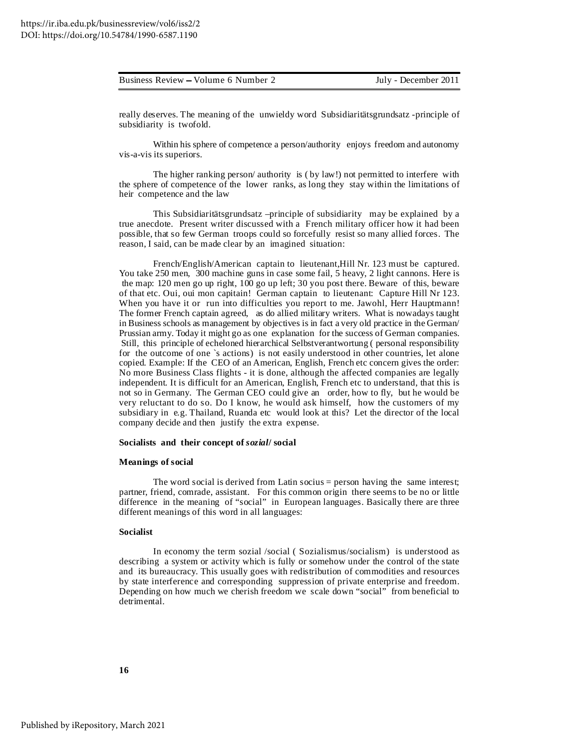| Business Review – Volume 6 Number 2 | July - December 2011 |
|-------------------------------------|----------------------|
|                                     |                      |

really deserves. The meaning of the unwieldy word Subsidiaritätsgrundsatz -principle of subsidiarity is twofold.

Within his sphere of competence a person/authority enjoys freedom and autonomy vis-a-vis its superiors.

The higher ranking person/ authority is ( by law!) not permitted to interfere with the sphere of competence of the lower ranks, as long they stay within the limitations of heir competence and the law

This Subsidiaritätsgrundsatz –principle of subsidiarity may be explained by a true anecdote. Present writer discussed with a French military officer how it had been possible, that so few German troops could so forcefully resist so many allied forces. The reason, I said, can be made clear by an imagined situation:

French/English/American captain to lieutenant,Hill Nr. 123 must be captured. You take 250 men, 300 machine guns in case some fail, 5 heavy, 2 light cannons. Here is the map: 120 men go up right, 100 go up left; 30 you post there. Beware of this, beware of that etc. Oui, oui mon capitain! German captain to lieutenant: Capture Hill Nr 123. When you have it or run into difficulties you report to me. Jawohl, Herr Hauptmann! The former French captain agreed, as do allied military writers. What is nowadays taught in Business schools as management by objectives is in fact a very old practice in the German/ Prussian army. Today it might go as one explanation for the success of German companies. Still, this principle of echeloned hierarchical Selbstverantwortung ( personal responsibility for the outcome of one `s actions) is not easily understood in other countries, let alone copied. Example: If the CEO of an American, English, French etc concern gives the order: No more Business Class flights - it is done, although the affected companies are legally independent. It is difficult for an American, English, French etc to understand, that this is not so in Germany. The German CEO could give an order, how to fly, but he would be very reluctant to do so. Do I know, he would ask himself, how the customers of my subsidiary in e.g. Thailand, Ruanda etc would look at this? Let the director of the local company decide and then justify the extra expense.

# **Socialists and their concept of** *sozial***/ social**

# **Meanings of social**

The word social is derived from Latin socius = person having the same interest; partner, friend, comrade, assistant. For this common origin there seems to be no or little difference in the meaning of "social" in European languages. Basically there are three different meanings of this word in all languages:

# **Socialist**

In economy the term sozial /social ( Sozialismus/socialism) is understood as describing a system or activity which is fully or somehow under the control of the state and its bureaucracy. This usually goes with redistribution of commodities and resources by state interference and corresponding suppression of private enterprise and freedom. Depending on how much we cherish freedom we scale down "social" from beneficial to detrimental.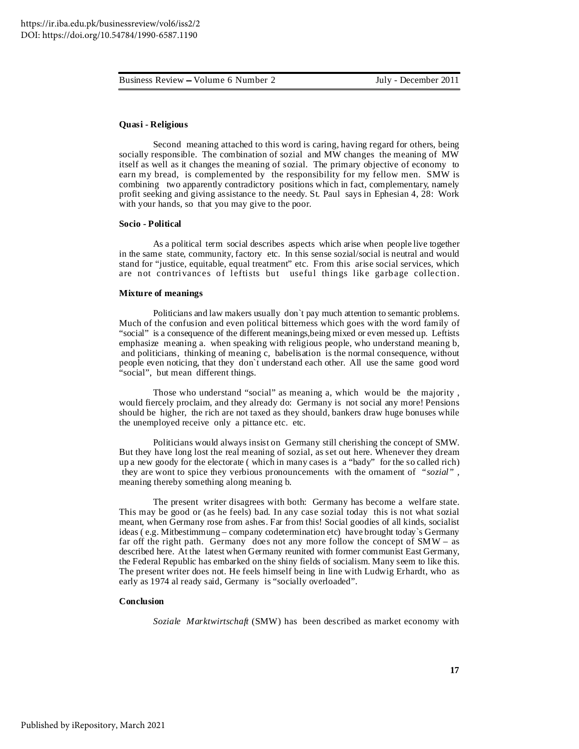# **Quasi - Religious**

Second meaning attached to this word is caring, having regard for others, being socially responsible. The combination of sozial and MW changes the meaning of MW itself as well as it changes the meaning of sozial. The primary objective of economy to earn my bread, is complemented by the responsibility for my fellow men. SMW is combining two apparently contradictory positions which in fact, complementary, namely profit seeking and giving assistance to the needy. St. Paul says in Ephesian 4, 28: Work with your hands, so that you may give to the poor.

#### **Socio - Political**

As a political term social describes aspects which arise when people live together in the same state, community, factory etc. In this sense sozial/social is neutral and would stand for "justice, equitable, equal treatment" etc. From this arise social services, which are not contrivances of leftists but useful things like garbage collection.

#### **Mixture of meanings**

Politicians and law makers usually don`t pay much attention to semantic problems. Much of the confusion and even political bitterness which goes with the word family of "social" is a consequence of the different meanings,being mixed or even messed up. Leftists emphasize meaning a. when speaking with religious people, who understand meaning b, and politicians, thinking of meaning c, babelisation is the normal consequence, without people even noticing, that they don`t understand each other. All use the same good word "social", but mean different things.

Those who understand "social" as meaning a, which would be the majority , would fiercely proclaim, and they already do: Germany is not social any more! Pensions should be higher, the rich are not taxed as they should, bankers draw huge bonuses while the unemployed receive only a pittance etc. etc.

Politicians would always insist on Germany still cherishing the concept of SMW. But they have long lost the real meaning of sozial, as set out here. Whenever they dream up a new goody for the electorate ( which in many cases is a "bady" for the so called rich) they are wont to spice they verbious pronouncements with the ornament of *"sozial" ,* meaning thereby something along meaning b.

The present writer disagrees with both: Germany has become a welfare state. This may be good or (as he feels) bad. In any case sozial today this is not what sozial meant, when Germany rose from ashes. Far from this! Social goodies of all kinds, socialist ideas ( e.g. Mitbestimmung – company codetermination etc) have brought today`s Germany far off the right path. Germany does not any more follow the concept of  $SMW -$  as described here. At the latest when Germany reunited with former communist East Germany, the Federal Republic has embarked on the shiny fields of socialism. Many seem to like this. The present writer does not. He feels himself being in line with Ludwig Erhardt, who as early as 1974 al ready said, Germany is "socially overloaded".

#### **Conclusion**

*Soziale Marktwirtschaft* (SMW) has been described as market economy with